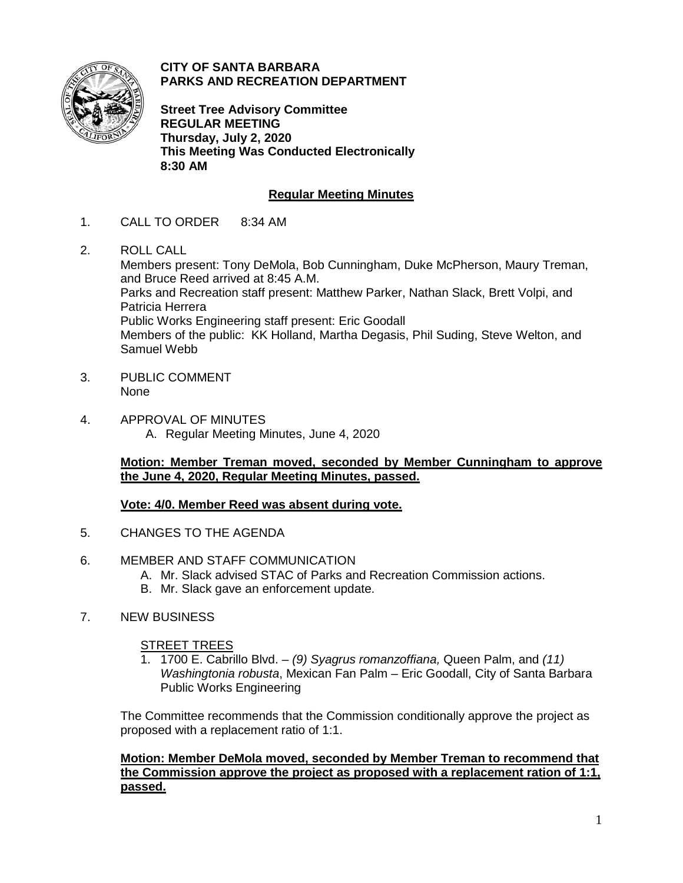

**CITY OF SANTA BARBARA PARKS AND RECREATION DEPARTMENT**

**Street Tree Advisory Committee REGULAR MEETING Thursday, July 2, 2020 This Meeting Was Conducted Electronically 8:30 AM**

# **Regular Meeting Minutes**

- 1. CALL TO ORDER 8:34 AM
- 2. ROLL CALL Members present: Tony DeMola, Bob Cunningham, Duke McPherson, Maury Treman, and Bruce Reed arrived at 8:45 A.M. Parks and Recreation staff present: Matthew Parker, Nathan Slack, Brett Volpi, and Patricia Herrera Public Works Engineering staff present: Eric Goodall Members of the public: KK Holland, Martha Degasis, Phil Suding, Steve Welton, and Samuel Webb
- 3. PUBLIC COMMENT None
- 4. APPROVAL OF MINUTES A. Regular Meeting Minutes, June 4, 2020

**Motion: Member Treman moved, seconded by Member Cunningham to approve the June 4, 2020, Regular Meeting Minutes, passed.**

## **Vote: 4/0. Member Reed was absent during vote.**

- 5. CHANGES TO THE AGENDA
- 6. MEMBER AND STAFF COMMUNICATION
	- A. Mr. Slack advised STAC of Parks and Recreation Commission actions.
	- B. Mr. Slack gave an enforcement update.
- 7. NEW BUSINESS

## STREET TREES

1. 1700 E. Cabrillo Blvd. – *(9) Syagrus romanzoffiana,* Queen Palm, and *(11) Washingtonia robusta*, Mexican Fan Palm – Eric Goodall, City of Santa Barbara Public Works Engineering

The Committee recommends that the Commission conditionally approve the project as proposed with a replacement ratio of 1:1.

**Motion: Member DeMola moved, seconded by Member Treman to recommend that the Commission approve the project as proposed with a replacement ration of 1:1, passed.**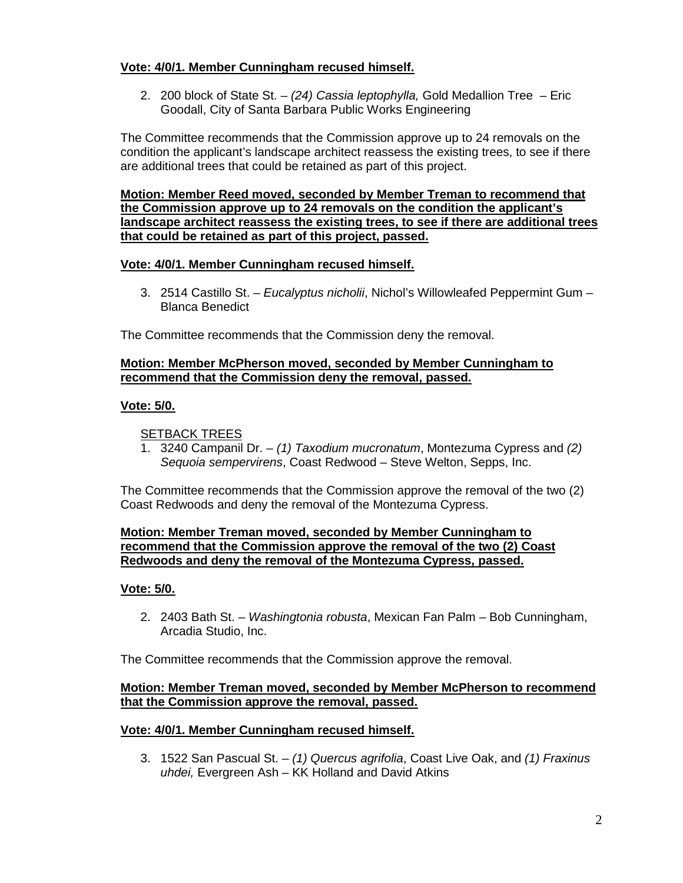## **Vote: 4/0/1. Member Cunningham recused himself.**

2. 200 block of State St. – *(24) Cassia leptophylla,* Gold Medallion Tree – Eric Goodall, City of Santa Barbara Public Works Engineering

The Committee recommends that the Commission approve up to 24 removals on the condition the applicant's landscape architect reassess the existing trees, to see if there are additional trees that could be retained as part of this project.

**Motion: Member Reed moved, seconded by Member Treman to recommend that the Commission approve up to 24 removals on the condition the applicant's landscape architect reassess the existing trees, to see if there are additional trees that could be retained as part of this project, passed.** 

## **Vote: 4/0/1. Member Cunningham recused himself.**

3. 2514 Castillo St. – *Eucalyptus nicholii*, Nichol's Willowleafed Peppermint Gum – Blanca Benedict

The Committee recommends that the Commission deny the removal.

#### **Motion: Member McPherson moved, seconded by Member Cunningham to recommend that the Commission deny the removal, passed.**

## **Vote: 5/0.**

## SETBACK TREES

1. 3240 Campanil Dr. – *(1) Taxodium mucronatum*, Montezuma Cypress and *(2) Sequoia sempervirens*, Coast Redwood – Steve Welton, Sepps, Inc.

The Committee recommends that the Commission approve the removal of the two (2) Coast Redwoods and deny the removal of the Montezuma Cypress.

#### **Motion: Member Treman moved, seconded by Member Cunningham to recommend that the Commission approve the removal of the two (2) Coast Redwoods and deny the removal of the Montezuma Cypress, passed.**

## **Vote: 5/0.**

2. 2403 Bath St. – *Washingtonia robusta*, Mexican Fan Palm – Bob Cunningham, Arcadia Studio, Inc.

The Committee recommends that the Commission approve the removal.

#### **Motion: Member Treman moved, seconded by Member McPherson to recommend that the Commission approve the removal, passed.**

#### **Vote: 4/0/1. Member Cunningham recused himself.**

3. 1522 San Pascual St. – *(1) Quercus agrifolia*, Coast Live Oak, and *(1) Fraxinus uhdei,* Evergreen Ash – KK Holland and David Atkins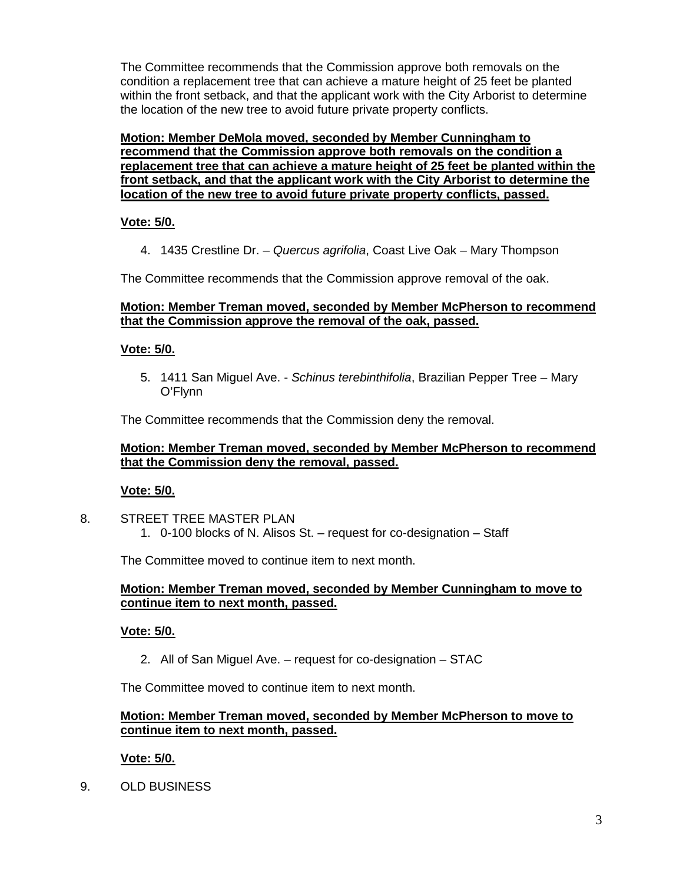The Committee recommends that the Commission approve both removals on the condition a replacement tree that can achieve a mature height of 25 feet be planted within the front setback, and that the applicant work with the City Arborist to determine the location of the new tree to avoid future private property conflicts.

**Motion: Member DeMola moved, seconded by Member Cunningham to recommend that the Commission approve both removals on the condition a replacement tree that can achieve a mature height of 25 feet be planted within the front setback, and that the applicant work with the City Arborist to determine the location of the new tree to avoid future private property conflicts, passed.** 

## **Vote: 5/0.**

4. 1435 Crestline Dr. – *Quercus agrifolia*, Coast Live Oak – Mary Thompson

The Committee recommends that the Commission approve removal of the oak.

## **Motion: Member Treman moved, seconded by Member McPherson to recommend that the Commission approve the removal of the oak, passed.**

# **Vote: 5/0.**

5. 1411 San Miguel Ave. - *Schinus terebinthifolia*, Brazilian Pepper Tree – Mary O'Flynn

The Committee recommends that the Commission deny the removal.

## **Motion: Member Treman moved, seconded by Member McPherson to recommend that the Commission deny the removal, passed.**

# **Vote: 5/0.**

8. STREET TREE MASTER PLAN 1. 0-100 blocks of N. Alisos St. – request for co-designation – Staff

The Committee moved to continue item to next month.

## **Motion: Member Treman moved, seconded by Member Cunningham to move to continue item to next month, passed.**

# **Vote: 5/0.**

2. All of San Miguel Ave. – request for co-designation – STAC

The Committee moved to continue item to next month.

## **Motion: Member Treman moved, seconded by Member McPherson to move to continue item to next month, passed.**

# **Vote: 5/0.**

9. OLD BUSINESS